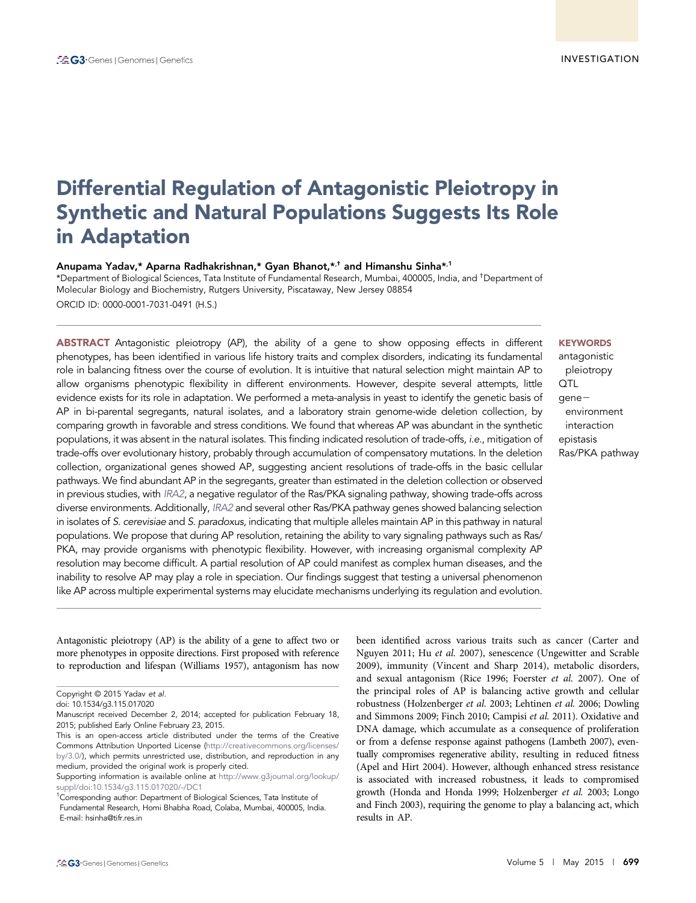# Differential Regulation of Antagonistic Pleiotropy in Synthetic and Natural Populations Suggests Its Role in Adaptation

Anupama Yadav,\* Aparna Radhakrishnan,\* Gyan Bhanot,\*,† and Himanshu Sinha\*,<sup>1</sup>

\*Department of Biological Sciences, Tata Institute of Fundamental Research, Mumbai, 400005, India, and †Department of Molecular Biology and Biochemistry, Rutgers University, Piscataway, New Jersey 08854 ORCID ID: 0000-0001-7031-0491 (H.S.)

ABSTRACT Antagonistic pleiotropy (AP), the ability of a gene to show opposing effects in different phenotypes, has been identified in various life history traits and complex disorders, indicating its fundamental role in balancing fitness over the course of evolution. It is intuitive that natural selection might maintain AP to allow organisms phenotypic flexibility in different environments. However, despite several attempts, little evidence exists for its role in adaptation. We performed a meta-analysis in yeast to identify the genetic basis of AP in bi-parental segregants, natural isolates, and a laboratory strain genome-wide deletion collection, by comparing growth in favorable and stress conditions. We found that whereas AP was abundant in the synthetic populations, it was absent in the natural isolates. This finding indicated resolution of trade-offs, i.e., mitigation of trade-offs over evolutionary history, probably through accumulation of compensatory mutations. In the deletion collection, organizational genes showed AP, suggesting ancient resolutions of trade-offs in the basic cellular pathways. We find abundant AP in the segregants, greater than estimated in the deletion collection or observed in previous studies, with IRA2, a negative regulator of the Ras/PKA signaling pathway, showing trade-offs across diverse environments. Additionally, IRA2 and several other Ras/PKA pathway genes showed balancing selection in isolates of S. cerevisiae and S. paradoxus, indicating that multiple alleles maintain AP in this pathway in natural populations. We propose that during AP resolution, retaining the ability to vary signaling pathways such as Ras/ PKA, may provide organisms with phenotypic flexibility. However, with increasing organismal complexity AP resolution may become difficult. A partial resolution of AP could manifest as complex human diseases, and the inability to resolve AP may play a role in speciation. Our findings suggest that testing a universal phenomenon like AP across multiple experimental systems may elucidate mechanisms underlying its regulation and evolution.

**KEYWORDS** 

antagonistic pleiotropy OTI. aeneenvironment interaction epistasis Ras/PKA pathway

Antagonistic pleiotropy (AP) is the ability of a gene to affect two or more phenotypes in opposite directions. First proposed with reference to reproduction and lifespan (Williams 1957), antagonism has now

Supporting information is available online at http://www.g3journal.org/lookup/ suppl/doi:10.1534/g3.115.017020/-/DC1

<sup>1</sup>Corresponding author: Department of Biological Sciences, Tata Institute of Fundamental Research, Homi Bhabha Road, Colaba, Mumbai, 400005, India. E-mail: hsinha@tifr.res.in

been identified across various traits such as cancer (Carter and Nguyen 2011; Hu *et al.* 2007), senescence (Ungewitter and Scrable 2009), immunity (Vincent and Sharp 2014), metabolic disorders, and sexual antagonism (Rice 1996; Foerster *et al.* 2007). One of the principal roles of AP is balancing active growth and cellular robustness (Holzenberger *et al.* 2003; Lehtinen *et al.* 2006; Dowling and Simmons 2009; Finch 2010; Campisi *et al.* 2011). Oxidative and DNA damage, which accumulate as a consequence of proliferation or from a defense response against pathogens (Lambeth 2007), eventually compromises regenerative ability, resulting in reduced fitness (Apel and Hirt 2004). However, although enhanced stress resistance is associated with increased robustness, it leads to compromised growth (Honda and Honda 1999; Holzenberger *et al.* 2003; Longo and Finch 2003), requiring the genome to play a balancing act, which results in AP.

Copyright © 2015 Yadav et al.

doi: 10.1534/g3.115.017020

Manuscript received December 2, 2014; accepted for publication February 18, 2015; published Early Online February 23, 2015.

This is an open-access article distributed under the terms of the Creative Commons Attribution Unported License (http://creativecommons.org/licenses/ by/3.0/), which permits unrestricted use, distribution, and reproduction in any medium, provided the original work is properly cited.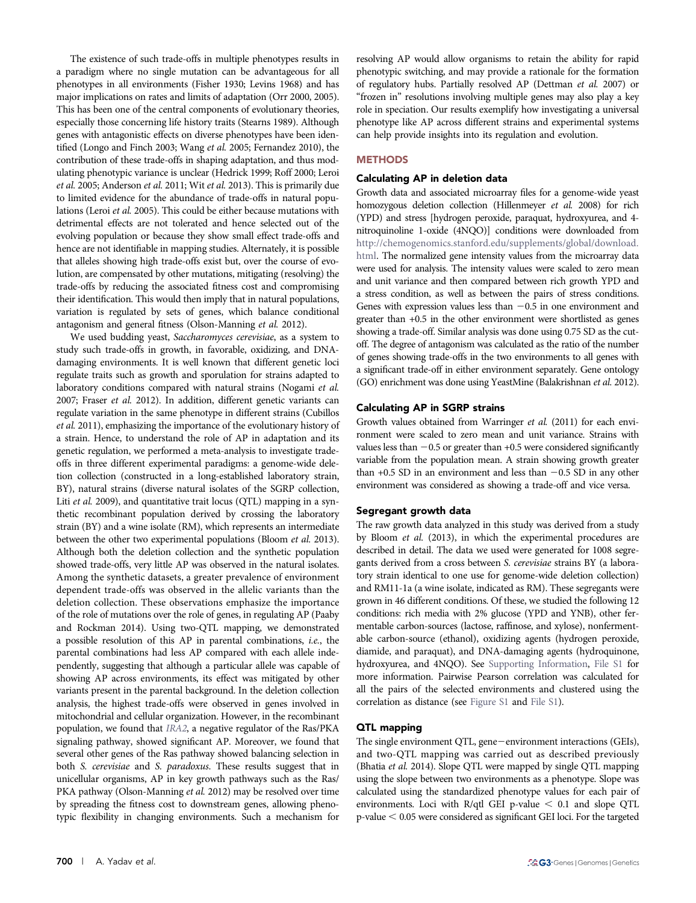The existence of such trade-offs in multiple phenotypes results in a paradigm where no single mutation can be advantageous for all phenotypes in all environments (Fisher 1930; Levins 1968) and has major implications on rates and limits of adaptation (Orr 2000, 2005). This has been one of the central components of evolutionary theories, especially those concerning life history traits (Stearns 1989). Although genes with antagonistic effects on diverse phenotypes have been identified (Longo and Finch 2003; Wang *et al.* 2005; Fernandez 2010), the contribution of these trade-offs in shaping adaptation, and thus modulating phenotypic variance is unclear (Hedrick 1999; Roff 2000; Leroi *et al.* 2005; Anderson *et al.* 2011; Wit *et al.* 2013). This is primarily due to limited evidence for the abundance of trade-offs in natural populations (Leroi *et al.* 2005). This could be either because mutations with detrimental effects are not tolerated and hence selected out of the evolving population or because they show small effect trade-offs and hence are not identifiable in mapping studies. Alternately, it is possible that alleles showing high trade-offs exist but, over the course of evolution, are compensated by other mutations, mitigating (resolving) the trade-offs by reducing the associated fitness cost and compromising their identification. This would then imply that in natural populations, variation is regulated by sets of genes, which balance conditional antagonism and general fitness (Olson-Manning *et al.* 2012).

We used budding yeast, *Saccharomyces cerevisiae*, as a system to study such trade-offs in growth, in favorable, oxidizing, and DNAdamaging environments. It is well known that different genetic loci regulate traits such as growth and sporulation for strains adapted to laboratory conditions compared with natural strains (Nogami *et al.* 2007; Fraser *et al.* 2012). In addition, different genetic variants can regulate variation in the same phenotype in different strains (Cubillos *et al.* 2011), emphasizing the importance of the evolutionary history of a strain. Hence, to understand the role of AP in adaptation and its genetic regulation, we performed a meta-analysis to investigate tradeoffs in three different experimental paradigms: a genome-wide deletion collection (constructed in a long-established laboratory strain, BY), natural strains (diverse natural isolates of the SGRP collection, Liti *et al.* 2009), and quantitative trait locus (QTL) mapping in a synthetic recombinant population derived by crossing the laboratory strain (BY) and a wine isolate (RM), which represents an intermediate between the other two experimental populations (Bloom *et al.* 2013). Although both the deletion collection and the synthetic population showed trade-offs, very little AP was observed in the natural isolates. Among the synthetic datasets, a greater prevalence of environment dependent trade-offs was observed in the allelic variants than the deletion collection. These observations emphasize the importance of the role of mutations over the role of genes, in regulating AP (Paaby and Rockman 2014). Using two-QTL mapping, we demonstrated a possible resolution of this AP in parental combinations, *i.e.*, the parental combinations had less AP compared with each allele independently, suggesting that although a particular allele was capable of showing AP across environments, its effect was mitigated by other variants present in the parental background. In the deletion collection analysis, the highest trade-offs were observed in genes involved in mitochondrial and cellular organization. However, in the recombinant population, we found that *IRA2*, a negative regulator of the Ras/PKA signaling pathway, showed significant AP. Moreover, we found that several other genes of the Ras pathway showed balancing selection in both *S. cerevisiae* and *S. paradoxus*. These results suggest that in unicellular organisms, AP in key growth pathways such as the Ras/ PKA pathway (Olson-Manning *et al.* 2012) may be resolved over time by spreading the fitness cost to downstream genes, allowing phenotypic flexibility in changing environments. Such a mechanism for

resolving AP would allow organisms to retain the ability for rapid phenotypic switching, and may provide a rationale for the formation of regulatory hubs. Partially resolved AP (Dettman *et al.* 2007) or "frozen in" resolutions involving multiple genes may also play a key role in speciation. Our results exemplify how investigating a universal phenotype like AP across different strains and experimental systems can help provide insights into its regulation and evolution.

# **METHODS**

#### Calculating AP in deletion data

Growth data and associated microarray files for a genome-wide yeast homozygous deletion collection (Hillenmeyer *et al.* 2008) for rich (YPD) and stress [hydrogen peroxide, paraquat, hydroxyurea, and 4 nitroquinoline 1-oxide (4NQO)] conditions were downloaded from http://chemogenomics.stanford.edu/supplements/global/download. html. The normalized gene intensity values from the microarray data were used for analysis. The intensity values were scaled to zero mean and unit variance and then compared between rich growth YPD and a stress condition, as well as between the pairs of stress conditions. Genes with expression values less than  $-0.5$  in one environment and greater than +0.5 in the other environment were shortlisted as genes showing a trade-off. Similar analysis was done using 0.75 SD as the cutoff. The degree of antagonism was calculated as the ratio of the number of genes showing trade-offs in the two environments to all genes with a significant trade-off in either environment separately. Gene ontology (GO) enrichment was done using YeastMine (Balakrishnan *et al.* 2012).

#### Calculating AP in SGRP strains

Growth values obtained from Warringer *et al.* (2011) for each environment were scaled to zero mean and unit variance. Strains with values less than  $-0.5$  or greater than  $+0.5$  were considered significantly variable from the population mean. A strain showing growth greater than  $+0.5$  SD in an environment and less than  $-0.5$  SD in any other environment was considered as showing a trade-off and vice versa.

#### Segregant growth data

The raw growth data analyzed in this study was derived from a study by Bloom *et al.* (2013), in which the experimental procedures are described in detail. The data we used were generated for 1008 segregants derived from a cross between *S. cerevisiae* strains BY (a laboratory strain identical to one use for genome-wide deletion collection) and RM11-1a (a wine isolate, indicated as RM). These segregants were grown in 46 different conditions. Of these, we studied the following 12 conditions: rich media with 2% glucose (YPD and YNB), other fermentable carbon-sources (lactose, raffinose, and xylose), nonfermentable carbon-source (ethanol), oxidizing agents (hydrogen peroxide, diamide, and paraquat), and DNA-damaging agents (hydroquinone, hydroxyurea, and 4NQO). See Supporting Information, File S1 for more information. Pairwise Pearson correlation was calculated for all the pairs of the selected environments and clustered using the correlation as distance (see Figure S1 and File S1).

## QTL mapping

The single environment QTL, gene-environment interactions (GEIs), and two-QTL mapping was carried out as described previously (Bhatia *et al.* 2014). Slope QTL were mapped by single QTL mapping using the slope between two environments as a phenotype. Slope was calculated using the standardized phenotype values for each pair of environments. Loci with R/qtl GEI p-value  $< 0.1$  and slope QTL  $p$ -value  $< 0.05$  were considered as significant GEI loci. For the targeted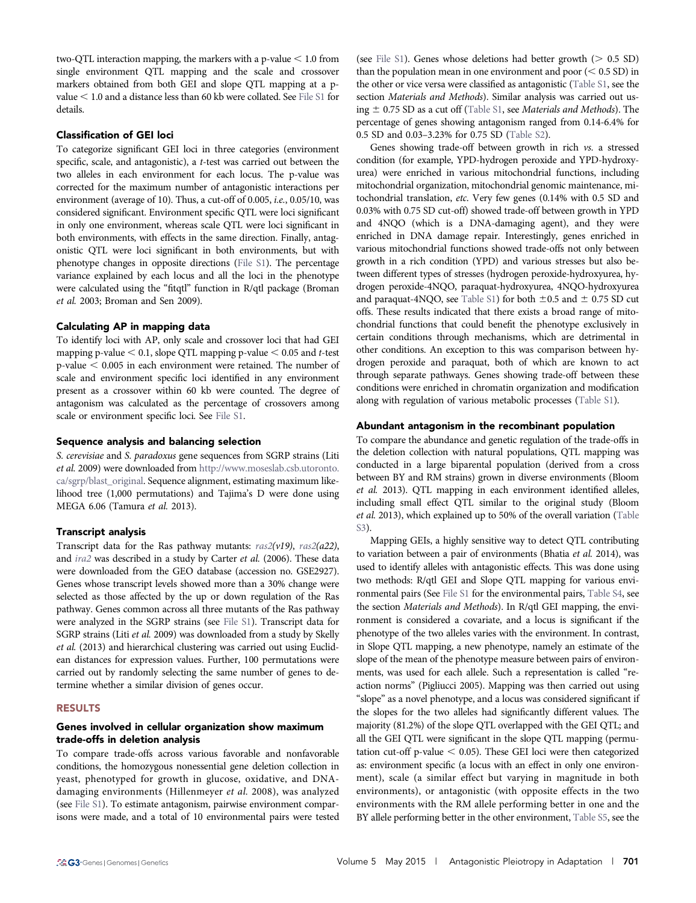two-QTL interaction mapping, the markers with a p-value  $< 1.0$  from single environment QTL mapping and the scale and crossover markers obtained from both GEI and slope QTL mapping at a pvalue  $<$  1.0 and a distance less than 60 kb were collated. See File S1 for details.

#### Classification of GEI loci

To categorize significant GEI loci in three categories (environment specific, scale, and antagonistic), a *t*-test was carried out between the two alleles in each environment for each locus. The p-value was corrected for the maximum number of antagonistic interactions per environment (average of 10). Thus, a cut-off of 0.005, *i.e.*, 0.05/10, was considered significant. Environment specific QTL were loci significant in only one environment, whereas scale QTL were loci significant in both environments, with effects in the same direction. Finally, antagonistic QTL were loci significant in both environments, but with phenotype changes in opposite directions (File S1). The percentage variance explained by each locus and all the loci in the phenotype were calculated using the "fitqtl" function in R/qtl package (Broman *et al.* 2003; Broman and Sen 2009).

#### Calculating AP in mapping data

To identify loci with AP, only scale and crossover loci that had GEI mapping p-value  $< 0.1$ , slope QTL mapping p-value  $< 0.05$  and *t*-test  $p$ -value  $< 0.005$  in each environment were retained. The number of scale and environment specific loci identified in any environment present as a crossover within 60 kb were counted. The degree of antagonism was calculated as the percentage of crossovers among scale or environment specific loci. See File S1.

#### Sequence analysis and balancing selection

*S. cerevisiae* and *S. paradoxus* gene sequences from SGRP strains (Liti *et al.* 2009) were downloaded from http://www.moseslab.csb.utoronto. ca/sgrp/blast\_original. Sequence alignment, estimating maximum likelihood tree (1,000 permutations) and Tajima's D were done using MEGA 6.06 (Tamura *et al.* 2013).

#### Transcript analysis

Transcript data for the Ras pathway mutants: *ras2(v19)*, *ras2(a22)*, and *ira2* was described in a study by Carter *et al.* (2006). These data were downloaded from the GEO database (accession no. GSE2927). Genes whose transcript levels showed more than a 30% change were selected as those affected by the up or down regulation of the Ras pathway. Genes common across all three mutants of the Ras pathway were analyzed in the SGRP strains (see File S1). Transcript data for SGRP strains (Liti *et al.* 2009) was downloaded from a study by Skelly *et al.* (2013) and hierarchical clustering was carried out using Euclidean distances for expression values. Further, 100 permutations were carried out by randomly selecting the same number of genes to determine whether a similar division of genes occur.

## RESULTS

### Genes involved in cellular organization show maximum trade-offs in deletion analysis

To compare trade-offs across various favorable and nonfavorable conditions, the homozygous nonessential gene deletion collection in yeast, phenotyped for growth in glucose, oxidative, and DNAdamaging environments (Hillenmeyer *et al.* 2008), was analyzed (see File S1). To estimate antagonism, pairwise environment comparisons were made, and a total of 10 environmental pairs were tested

(see File S1). Genes whose deletions had better growth  $(> 0.5 S<sub>D</sub>)$ than the population mean in one environment and poor  $(< 0.5 SD$ ) in the other or vice versa were classified as antagonistic (Table S1, see the section *Materials and Methods*). Similar analysis was carried out using 6 0.75 SD as a cut off (Table S1, see *Materials and Methods*). The percentage of genes showing antagonism ranged from 0.14-6.4% for 0.5 SD and 0.03–3.23% for 0.75 SD (Table S2).

Genes showing trade-off between growth in rich *vs.* a stressed condition (for example, YPD-hydrogen peroxide and YPD-hydroxyurea) were enriched in various mitochondrial functions, including mitochondrial organization, mitochondrial genomic maintenance, mitochondrial translation, *etc*. Very few genes (0.14% with 0.5 SD and 0.03% with 0.75 SD cut-off) showed trade-off between growth in YPD and 4NQO (which is a DNA-damaging agent), and they were enriched in DNA damage repair. Interestingly, genes enriched in various mitochondrial functions showed trade-offs not only between growth in a rich condition (YPD) and various stresses but also between different types of stresses (hydrogen peroxide-hydroxyurea, hydrogen peroxide-4NQO, paraquat-hydroxyurea, 4NQO-hydroxyurea and paraquat-4NQO, see Table S1) for both  $\pm 0.5$  and  $\pm$  0.75 SD cut offs. These results indicated that there exists a broad range of mitochondrial functions that could benefit the phenotype exclusively in certain conditions through mechanisms, which are detrimental in other conditions. An exception to this was comparison between hydrogen peroxide and paraquat, both of which are known to act through separate pathways. Genes showing trade-off between these conditions were enriched in chromatin organization and modification along with regulation of various metabolic processes (Table S1).

#### Abundant antagonism in the recombinant population

To compare the abundance and genetic regulation of the trade-offs in the deletion collection with natural populations, QTL mapping was conducted in a large biparental population (derived from a cross between BY and RM strains) grown in diverse environments (Bloom *et al.* 2013). QTL mapping in each environment identified alleles, including small effect QTL similar to the original study (Bloom *et al.* 2013), which explained up to 50% of the overall variation (Table S3).

Mapping GEIs, a highly sensitive way to detect QTL contributing to variation between a pair of environments (Bhatia *et al.* 2014), was used to identify alleles with antagonistic effects. This was done using two methods: R/qtl GEI and Slope QTL mapping for various environmental pairs (See File S1 for the environmental pairs, Table S4, see the section *Materials and Methods*). In R/qtl GEI mapping, the environment is considered a covariate, and a locus is significant if the phenotype of the two alleles varies with the environment. In contrast, in Slope QTL mapping, a new phenotype, namely an estimate of the slope of the mean of the phenotype measure between pairs of environments, was used for each allele. Such a representation is called "reaction norms" (Pigliucci 2005). Mapping was then carried out using "slope" as a novel phenotype, and a locus was considered significant if the slopes for the two alleles had significantly different values. The majority (81.2%) of the slope QTL overlapped with the GEI QTL; and all the GEI QTL were significant in the slope QTL mapping (permutation cut-off p-value  $< 0.05$ ). These GEI loci were then categorized as: environment specific (a locus with an effect in only one environment), scale (a similar effect but varying in magnitude in both environments), or antagonistic (with opposite effects in the two environments with the RM allele performing better in one and the BY allele performing better in the other environment, Table S5, see the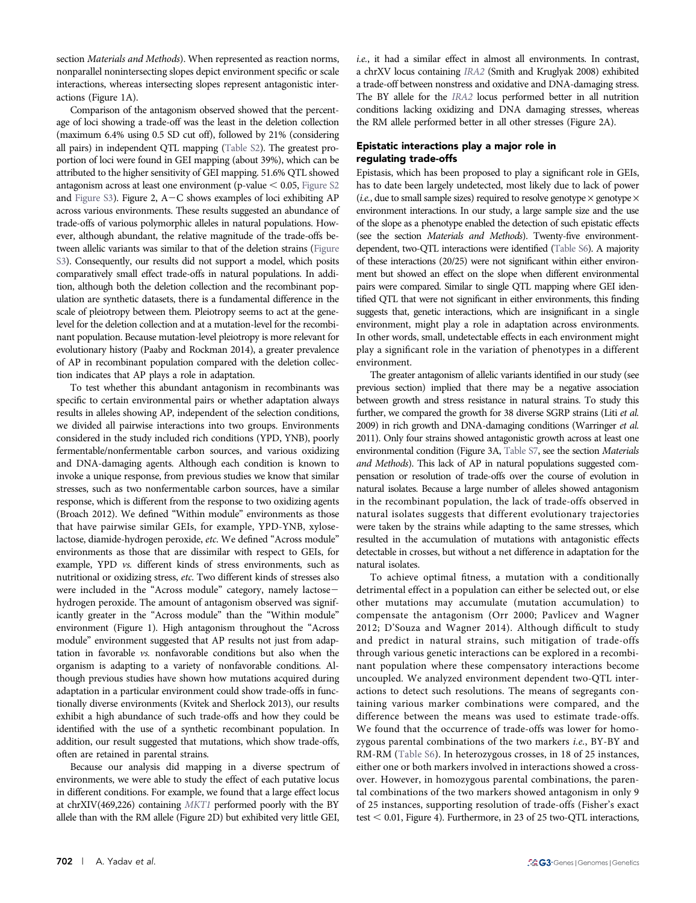section *Materials and Methods*). When represented as reaction norms, nonparallel nonintersecting slopes depict environment specific or scale interactions, whereas intersecting slopes represent antagonistic interactions (Figure 1A).

Comparison of the antagonism observed showed that the percentage of loci showing a trade-off was the least in the deletion collection (maximum 6.4% using 0.5 SD cut off), followed by 21% (considering all pairs) in independent QTL mapping (Table S2). The greatest proportion of loci were found in GEI mapping (about 39%), which can be attributed to the higher sensitivity of GEI mapping. 51.6% QTL showed antagonism across at least one environment (p-value  $< 0.05$ , Figure S2 and Figure S3). Figure 2,  $A-C$  shows examples of loci exhibiting AP across various environments. These results suggested an abundance of trade-offs of various polymorphic alleles in natural populations. However, although abundant, the relative magnitude of the trade-offs between allelic variants was similar to that of the deletion strains (Figure S3). Consequently, our results did not support a model, which posits comparatively small effect trade-offs in natural populations. In addition, although both the deletion collection and the recombinant population are synthetic datasets, there is a fundamental difference in the scale of pleiotropy between them. Pleiotropy seems to act at the genelevel for the deletion collection and at a mutation-level for the recombinant population. Because mutation-level pleiotropy is more relevant for evolutionary history (Paaby and Rockman 2014), a greater prevalence of AP in recombinant population compared with the deletion collection indicates that AP plays a role in adaptation.

To test whether this abundant antagonism in recombinants was specific to certain environmental pairs or whether adaptation always results in alleles showing AP, independent of the selection conditions, we divided all pairwise interactions into two groups. Environments considered in the study included rich conditions (YPD, YNB), poorly fermentable/nonfermentable carbon sources, and various oxidizing and DNA-damaging agents. Although each condition is known to invoke a unique response, from previous studies we know that similar stresses, such as two nonfermentable carbon sources, have a similar response, which is different from the response to two oxidizing agents (Broach 2012). We defined "Within module" environments as those that have pairwise similar GEIs, for example, YPD-YNB, xyloselactose, diamide-hydrogen peroxide, *etc*. We defined "Across module" environments as those that are dissimilar with respect to GEIs, for example, YPD *vs.* different kinds of stress environments, such as nutritional or oxidizing stress, *etc*. Two different kinds of stresses also were included in the "Across module" category, namely lactosehydrogen peroxide. The amount of antagonism observed was significantly greater in the "Across module" than the "Within module" environment (Figure 1). High antagonism throughout the "Across module" environment suggested that AP results not just from adaptation in favorable *vs.* nonfavorable conditions but also when the organism is adapting to a variety of nonfavorable conditions. Although previous studies have shown how mutations acquired during adaptation in a particular environment could show trade-offs in functionally diverse environments (Kvitek and Sherlock 2013), our results exhibit a high abundance of such trade-offs and how they could be identified with the use of a synthetic recombinant population. In addition, our result suggested that mutations, which show trade-offs, often are retained in parental strains.

Because our analysis did mapping in a diverse spectrum of environments, we were able to study the effect of each putative locus in different conditions. For example, we found that a large effect locus at chrXIV(469,226) containing *MKT1* performed poorly with the BY allele than with the RM allele (Figure 2D) but exhibited very little GEI, *i.e.*, it had a similar effect in almost all environments. In contrast, a chrXV locus containing *IRA2* (Smith and Kruglyak 2008) exhibited a trade-off between nonstress and oxidative and DNA-damaging stress. The BY allele for the *IRA2* locus performed better in all nutrition conditions lacking oxidizing and DNA damaging stresses, whereas the RM allele performed better in all other stresses (Figure 2A).

# Epistatic interactions play a major role in regulating trade-offs

Epistasis, which has been proposed to play a significant role in GEIs, has to date been largely undetected, most likely due to lack of power (*i.e.*, due to small sample sizes) required to resolve genotype  $\times$  genotype  $\times$ environment interactions. In our study, a large sample size and the use of the slope as a phenotype enabled the detection of such epistatic effects (see the section *Materials and Methods*). Twenty-five environmentdependent, two-QTL interactions were identified (Table S6). A majority of these interactions (20/25) were not significant within either environment but showed an effect on the slope when different environmental pairs were compared. Similar to single QTL mapping where GEI identified QTL that were not significant in either environments, this finding suggests that, genetic interactions, which are insignificant in a single environment, might play a role in adaptation across environments. In other words, small, undetectable effects in each environment might play a significant role in the variation of phenotypes in a different environment.

The greater antagonism of allelic variants identified in our study (see previous section) implied that there may be a negative association between growth and stress resistance in natural strains. To study this further, we compared the growth for 38 diverse SGRP strains (Liti *et al.* 2009) in rich growth and DNA-damaging conditions (Warringer *et al.* 2011). Only four strains showed antagonistic growth across at least one environmental condition (Figure 3A, Table S7, see the section *Materials and Methods*). This lack of AP in natural populations suggested compensation or resolution of trade-offs over the course of evolution in natural isolates. Because a large number of alleles showed antagonism in the recombinant population, the lack of trade-offs observed in natural isolates suggests that different evolutionary trajectories were taken by the strains while adapting to the same stresses, which resulted in the accumulation of mutations with antagonistic effects detectable in crosses, but without a net difference in adaptation for the natural isolates.

To achieve optimal fitness, a mutation with a conditionally detrimental effect in a population can either be selected out, or else other mutations may accumulate (mutation accumulation) to compensate the antagonism (Orr 2000; Pavlicev and Wagner 2012; D'Souza and Wagner 2014). Although difficult to study and predict in natural strains, such mitigation of trade-offs through various genetic interactions can be explored in a recombinant population where these compensatory interactions become uncoupled. We analyzed environment dependent two-QTL interactions to detect such resolutions. The means of segregants containing various marker combinations were compared, and the difference between the means was used to estimate trade-offs. We found that the occurrence of trade-offs was lower for homozygous parental combinations of the two markers *i.e.*, BY-BY and RM-RM (Table S6). In heterozygous crosses, in 18 of 25 instances, either one or both markers involved in interactions showed a crossover. However, in homozygous parental combinations, the parental combinations of the two markers showed antagonism in only 9 of 25 instances, supporting resolution of trade-offs (Fisher's exact test  $<$  0.01, Figure 4). Furthermore, in 23 of 25 two-QTL interactions,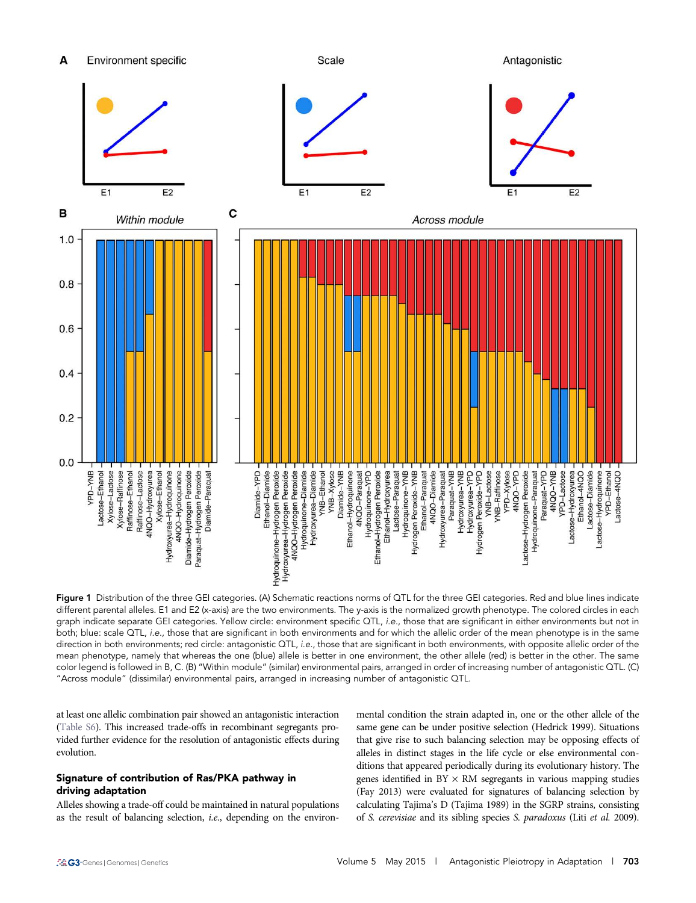

Figure 1 Distribution of the three GEI categories. (A) Schematic reactions norms of QTL for the three GEI categories. Red and blue lines indicate different parental alleles. E1 and E2 (x-axis) are the two environments. The y-axis is the normalized growth phenotype. The colored circles in each graph indicate separate GEI categories. Yellow circle: environment specific QTL, i.e., those that are significant in either environments but not in both; blue: scale QTL, i.e., those that are significant in both environments and for which the allelic order of the mean phenotype is in the same direction in both environments; red circle: antagonistic QTL, i.e., those that are significant in both environments, with opposite allelic order of the mean phenotype, namely that whereas the one (blue) allele is better in one environment, the other allele (red) is better in the other. The same color legend is followed in B, C. (B) "Within module" (similar) environmental pairs, arranged in order of increasing number of antagonistic QTL. (C) "Across module" (dissimilar) environmental pairs, arranged in increasing number of antagonistic QTL.

at least one allelic combination pair showed an antagonistic interaction (Table S6). This increased trade-offs in recombinant segregants provided further evidence for the resolution of antagonistic effects during evolution.

## Signature of contribution of Ras/PKA pathway in driving adaptation

Alleles showing a trade-off could be maintained in natural populations as the result of balancing selection, *i.e.*, depending on the environmental condition the strain adapted in, one or the other allele of the same gene can be under positive selection (Hedrick 1999). Situations that give rise to such balancing selection may be opposing effects of alleles in distinct stages in the life cycle or else environmental conditions that appeared periodically during its evolutionary history. The genes identified in  $BY \times RM$  segregants in various mapping studies (Fay 2013) were evaluated for signatures of balancing selection by calculating Tajima's D (Tajima 1989) in the SGRP strains, consisting of *S. cerevisiae* and its sibling species *S. paradoxus* (Liti *et al.* 2009).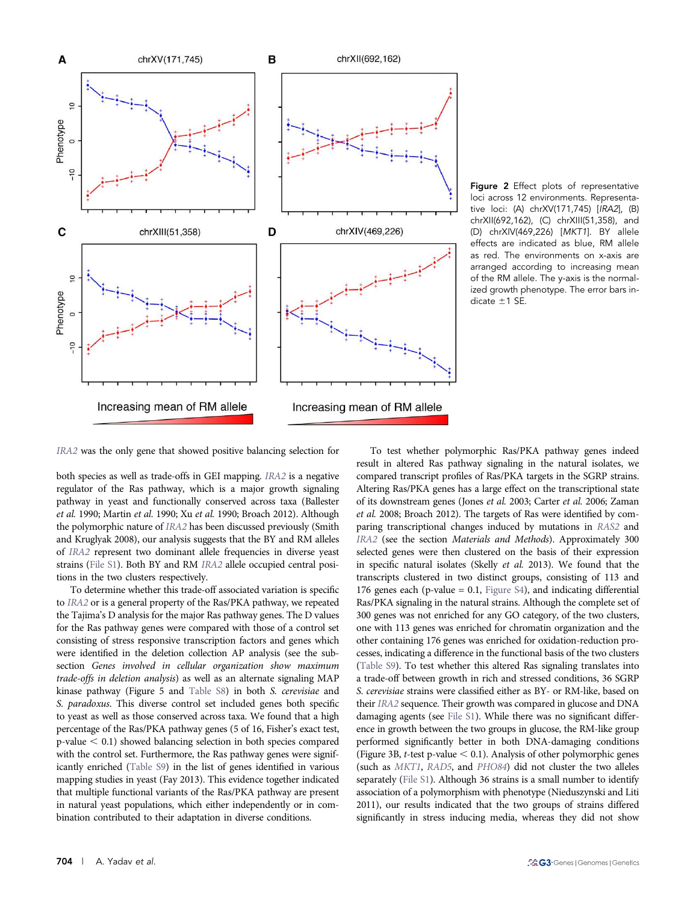

Figure 2 Effect plots of representative loci across 12 environments. Representative loci: (A) chrXV(171,745) [IRA2], (B) chrXII(692,162), (C) chrXIII(51,358), and (D) chrXIV(469,226) [MKT1]. BY allele effects are indicated as blue, RM allele as red. The environments on x-axis are arranged according to increasing mean of the RM allele. The y-axis is the normalized growth phenotype. The error bars indicate  $\pm 1$  SE.

*IRA2* was the only gene that showed positive balancing selection for

both species as well as trade-offs in GEI mapping. *IRA2* is a negative regulator of the Ras pathway, which is a major growth signaling pathway in yeast and functionally conserved across taxa (Ballester *et al.* 1990; Martin *et al.* 1990; Xu *et al.* 1990; Broach 2012). Although the polymorphic nature of *IRA2* has been discussed previously (Smith and Kruglyak 2008), our analysis suggests that the BY and RM alleles of *IRA2* represent two dominant allele frequencies in diverse yeast strains (File S1). Both BY and RM *IRA2* allele occupied central positions in the two clusters respectively.

To determine whether this trade-off associated variation is specific to *IRA2* or is a general property of the Ras/PKA pathway, we repeated the Tajima's D analysis for the major Ras pathway genes. The D values for the Ras pathway genes were compared with those of a control set consisting of stress responsive transcription factors and genes which were identified in the deletion collection AP analysis (see the subsection *Genes involved in cellular organization show maximum trade-offs in deletion analysis*) as well as an alternate signaling MAP kinase pathway (Figure 5 and Table S8) in both *S. cerevisiae* and *S. paradoxus*. This diverse control set included genes both specific to yeast as well as those conserved across taxa. We found that a high percentage of the Ras/PKA pathway genes (5 of 16, Fisher's exact test,  $p$ -value  $< 0.1$ ) showed balancing selection in both species compared with the control set. Furthermore, the Ras pathway genes were significantly enriched (Table S9) in the list of genes identified in various mapping studies in yeast (Fay 2013). This evidence together indicated that multiple functional variants of the Ras/PKA pathway are present in natural yeast populations, which either independently or in combination contributed to their adaptation in diverse conditions.

To test whether polymorphic Ras/PKA pathway genes indeed result in altered Ras pathway signaling in the natural isolates, we compared transcript profiles of Ras/PKA targets in the SGRP strains. Altering Ras/PKA genes has a large effect on the transcriptional state of its downstream genes (Jones *et al.* 2003; Carter *et al.* 2006; Zaman *et al.* 2008; Broach 2012). The targets of Ras were identified by comparing transcriptional changes induced by mutations in *RAS2* and *IRA2* (see the section *Materials and Methods*). Approximately 300 selected genes were then clustered on the basis of their expression in specific natural isolates (Skelly *et al.* 2013). We found that the transcripts clustered in two distinct groups, consisting of 113 and 176 genes each (p-value = 0.1, Figure S4), and indicating differential Ras/PKA signaling in the natural strains. Although the complete set of 300 genes was not enriched for any GO category, of the two clusters, one with 113 genes was enriched for chromatin organization and the other containing 176 genes was enriched for oxidation-reduction processes, indicating a difference in the functional basis of the two clusters (Table S9). To test whether this altered Ras signaling translates into a trade-off between growth in rich and stressed conditions, 36 SGRP *S. cerevisiae* strains were classified either as BY- or RM-like, based on their *IRA2* sequence. Their growth was compared in glucose and DNA damaging agents (see File S1). While there was no significant difference in growth between the two groups in glucose, the RM-like group performed significantly better in both DNA-damaging conditions (Figure 3B,  $t$ -test p-value  $< 0.1$ ). Analysis of other polymorphic genes (such as *MKT1*, *RAD5*, and *PHO84*) did not cluster the two alleles separately (File S1). Although 36 strains is a small number to identify association of a polymorphism with phenotype (Nieduszynski and Liti 2011), our results indicated that the two groups of strains differed significantly in stress inducing media, whereas they did not show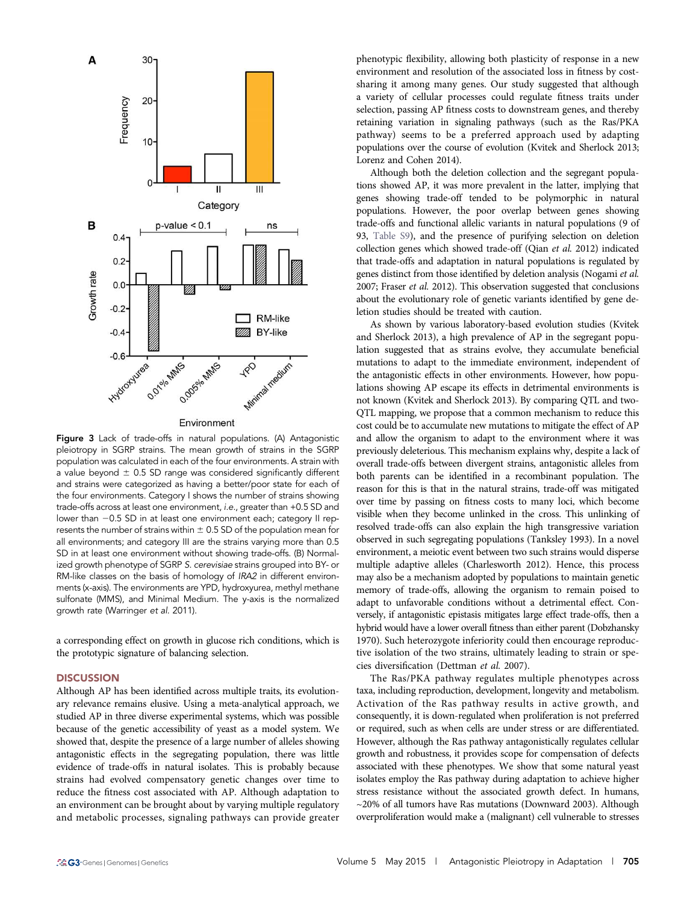

Fnvironment

Figure 3 Lack of trade-offs in natural populations. (A) Antagonistic pleiotropy in SGRP strains. The mean growth of strains in the SGRP population was calculated in each of the four environments. A strain with a value beyond  $\pm$  0.5 SD range was considered significantly different and strains were categorized as having a better/poor state for each of the four environments. Category I shows the number of strains showing trade-offs across at least one environment, i.e., greater than +0.5 SD and lower than -0.5 SD in at least one environment each; category II represents the number of strains within  $\pm$  0.5 SD of the population mean for all environments; and category III are the strains varying more than 0.5 SD in at least one environment without showing trade-offs. (B) Normalized growth phenotype of SGRP S. cerevisiae strains grouped into BY- or RM-like classes on the basis of homology of IRA2 in different environments (x-axis). The environments are YPD, hydroxyurea, methyl methane sulfonate (MMS), and Minimal Medium. The y-axis is the normalized growth rate (Warringer et al. 2011).

a corresponding effect on growth in glucose rich conditions, which is the prototypic signature of balancing selection.

#### **DISCUSSION**

Although AP has been identified across multiple traits, its evolutionary relevance remains elusive. Using a meta-analytical approach, we studied AP in three diverse experimental systems, which was possible because of the genetic accessibility of yeast as a model system. We showed that, despite the presence of a large number of alleles showing antagonistic effects in the segregating population, there was little evidence of trade-offs in natural isolates. This is probably because strains had evolved compensatory genetic changes over time to reduce the fitness cost associated with AP. Although adaptation to an environment can be brought about by varying multiple regulatory and metabolic processes, signaling pathways can provide greater

phenotypic flexibility, allowing both plasticity of response in a new environment and resolution of the associated loss in fitness by costsharing it among many genes. Our study suggested that although a variety of cellular processes could regulate fitness traits under selection, passing AP fitness costs to downstream genes, and thereby retaining variation in signaling pathways (such as the Ras/PKA pathway) seems to be a preferred approach used by adapting populations over the course of evolution (Kvitek and Sherlock 2013; Lorenz and Cohen 2014).

Although both the deletion collection and the segregant populations showed AP, it was more prevalent in the latter, implying that genes showing trade-off tended to be polymorphic in natural populations. However, the poor overlap between genes showing trade-offs and functional allelic variants in natural populations (9 of 93, Table S9), and the presence of purifying selection on deletion collection genes which showed trade-off (Qian *et al.* 2012) indicated that trade-offs and adaptation in natural populations is regulated by genes distinct from those identified by deletion analysis (Nogami *et al.* 2007; Fraser *et al.* 2012). This observation suggested that conclusions about the evolutionary role of genetic variants identified by gene deletion studies should be treated with caution.

As shown by various laboratory-based evolution studies (Kvitek and Sherlock 2013), a high prevalence of AP in the segregant population suggested that as strains evolve, they accumulate beneficial mutations to adapt to the immediate environment, independent of the antagonistic effects in other environments. However, how populations showing AP escape its effects in detrimental environments is not known (Kvitek and Sherlock 2013). By comparing QTL and two-QTL mapping, we propose that a common mechanism to reduce this cost could be to accumulate new mutations to mitigate the effect of AP and allow the organism to adapt to the environment where it was previously deleterious. This mechanism explains why, despite a lack of overall trade-offs between divergent strains, antagonistic alleles from both parents can be identified in a recombinant population. The reason for this is that in the natural strains, trade-off was mitigated over time by passing on fitness costs to many loci, which become visible when they become unlinked in the cross. This unlinking of resolved trade-offs can also explain the high transgressive variation observed in such segregating populations (Tanksley 1993). In a novel environment, a meiotic event between two such strains would disperse multiple adaptive alleles (Charlesworth 2012). Hence, this process may also be a mechanism adopted by populations to maintain genetic memory of trade-offs, allowing the organism to remain poised to adapt to unfavorable conditions without a detrimental effect. Conversely, if antagonistic epistasis mitigates large effect trade-offs, then a hybrid would have a lower overall fitness than either parent (Dobzhansky 1970). Such heterozygote inferiority could then encourage reproductive isolation of the two strains, ultimately leading to strain or species diversification (Dettman *et al.* 2007).

The Ras/PKA pathway regulates multiple phenotypes across taxa, including reproduction, development, longevity and metabolism. Activation of the Ras pathway results in active growth, and consequently, it is down-regulated when proliferation is not preferred or required, such as when cells are under stress or are differentiated. However, although the Ras pathway antagonistically regulates cellular growth and robustness, it provides scope for compensation of defects associated with these phenotypes. We show that some natural yeast isolates employ the Ras pathway during adaptation to achieve higher stress resistance without the associated growth defect. In humans, ~20% of all tumors have Ras mutations (Downward 2003). Although overproliferation would make a (malignant) cell vulnerable to stresses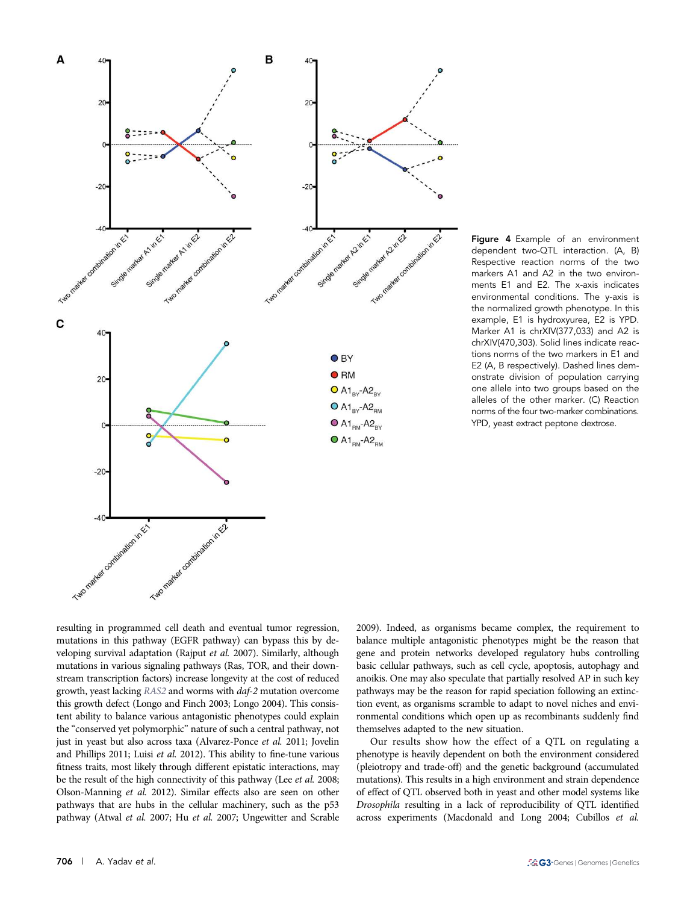

Figure 4 Example of an environment dependent two-QTL interaction. (A, B) Respective reaction norms of the two markers A1 and A2 in the two environments E1 and E2. The x-axis indicates environmental conditions. The y-axis is the normalized growth phenotype. In this example, E1 is hydroxyurea, E2 is YPD. Marker A1 is chrXIV(377,033) and A2 is chrXIV(470,303). Solid lines indicate reactions norms of the two markers in E1 and E2 (A, B respectively). Dashed lines demonstrate division of population carrying one allele into two groups based on the alleles of the other marker. (C) Reaction norms of the four two-marker combinations. YPD, yeast extract peptone dextrose.

resulting in programmed cell death and eventual tumor regression, mutations in this pathway (EGFR pathway) can bypass this by developing survival adaptation (Rajput *et al.* 2007). Similarly, although mutations in various signaling pathways (Ras, TOR, and their downstream transcription factors) increase longevity at the cost of reduced growth, yeast lacking *RAS2* and worms with *daf-2* mutation overcome this growth defect (Longo and Finch 2003; Longo 2004). This consistent ability to balance various antagonistic phenotypes could explain the "conserved yet polymorphic" nature of such a central pathway, not just in yeast but also across taxa (Alvarez-Ponce *et al.* 2011; Jovelin and Phillips 2011; Luisi *et al.* 2012). This ability to fine-tune various fitness traits, most likely through different epistatic interactions, may be the result of the high connectivity of this pathway (Lee *et al.* 2008; Olson-Manning *et al.* 2012). Similar effects also are seen on other pathways that are hubs in the cellular machinery, such as the p53 pathway (Atwal *et al.* 2007; Hu *et al.* 2007; Ungewitter and Scrable

2009). Indeed, as organisms became complex, the requirement to balance multiple antagonistic phenotypes might be the reason that gene and protein networks developed regulatory hubs controlling basic cellular pathways, such as cell cycle, apoptosis, autophagy and anoikis. One may also speculate that partially resolved AP in such key pathways may be the reason for rapid speciation following an extinction event, as organisms scramble to adapt to novel niches and environmental conditions which open up as recombinants suddenly find themselves adapted to the new situation.

Our results show how the effect of a QTL on regulating a phenotype is heavily dependent on both the environment considered (pleiotropy and trade-off) and the genetic background (accumulated mutations). This results in a high environment and strain dependence of effect of QTL observed both in yeast and other model systems like *Drosophila* resulting in a lack of reproducibility of QTL identified across experiments (Macdonald and Long 2004; Cubillos *et al.*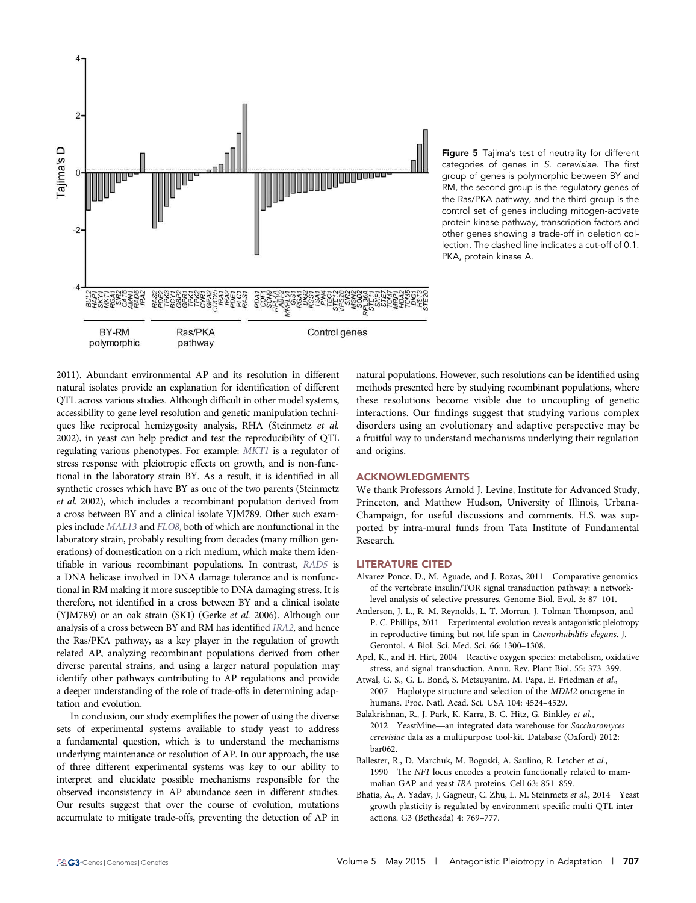

Figure 5 Tajima's test of neutrality for different categories of genes in S. cerevisiae. The first group of genes is polymorphic between BY and RM, the second group is the regulatory genes of the Ras/PKA pathway, and the third group is the control set of genes including mitogen-activate protein kinase pathway, transcription factors and other genes showing a trade-off in deletion collection. The dashed line indicates a cut-off of 0.1. PKA, protein kinase A.

2011). Abundant environmental AP and its resolution in different natural isolates provide an explanation for identification of different QTL across various studies. Although difficult in other model systems, accessibility to gene level resolution and genetic manipulation techniques like reciprocal hemizygosity analysis, RHA (Steinmetz *et al.* 2002), in yeast can help predict and test the reproducibility of QTL regulating various phenotypes. For example: *MKT1* is a regulator of stress response with pleiotropic effects on growth, and is non-functional in the laboratory strain BY. As a result, it is identified in all synthetic crosses which have BY as one of the two parents (Steinmetz *et al.* 2002), which includes a recombinant population derived from a cross between BY and a clinical isolate YJM789. Other such examples include *MAL13* and *FLO8*, both of which are nonfunctional in the laboratory strain, probably resulting from decades (many million generations) of domestication on a rich medium, which make them identifiable in various recombinant populations. In contrast, *RAD5* is a DNA helicase involved in DNA damage tolerance and is nonfunctional in RM making it more susceptible to DNA damaging stress. It is therefore, not identified in a cross between BY and a clinical isolate (YJM789) or an oak strain (SK1) (Gerke *et al.* 2006). Although our analysis of a cross between BY and RM has identified *IRA2*, and hence the Ras/PKA pathway, as a key player in the regulation of growth related AP, analyzing recombinant populations derived from other diverse parental strains, and using a larger natural population may identify other pathways contributing to AP regulations and provide a deeper understanding of the role of trade-offs in determining adaptation and evolution.

In conclusion, our study exemplifies the power of using the diverse sets of experimental systems available to study yeast to address a fundamental question, which is to understand the mechanisms underlying maintenance or resolution of AP. In our approach, the use of three different experimental systems was key to our ability to interpret and elucidate possible mechanisms responsible for the observed inconsistency in AP abundance seen in different studies. Our results suggest that over the course of evolution, mutations accumulate to mitigate trade-offs, preventing the detection of AP in

natural populations. However, such resolutions can be identified using methods presented here by studying recombinant populations, where these resolutions become visible due to uncoupling of genetic interactions. Our findings suggest that studying various complex disorders using an evolutionary and adaptive perspective may be a fruitful way to understand mechanisms underlying their regulation and origins.

#### ACKNOWLEDGMENTS

We thank Professors Arnold J. Levine, Institute for Advanced Study, Princeton, and Matthew Hudson, University of Illinois, Urbana-Champaign, for useful discussions and comments. H.S. was supported by intra-mural funds from Tata Institute of Fundamental Research.

# LITERATURE CITED

- Alvarez-Ponce, D., M. Aguade, and J. Rozas, 2011 Comparative genomics of the vertebrate insulin/TOR signal transduction pathway: a networklevel analysis of selective pressures. Genome Biol. Evol. 3: 87–101.
- Anderson, J. L., R. M. Reynolds, L. T. Morran, J. Tolman-Thompson, and P. C. Phillips, 2011 Experimental evolution reveals antagonistic pleiotropy in reproductive timing but not life span in *Caenorhabditis elegans*. J. Gerontol. A Biol. Sci. Med. Sci. 66: 1300–1308.
- Apel, K., and H. Hirt, 2004 Reactive oxygen species: metabolism, oxidative stress, and signal transduction. Annu. Rev. Plant Biol. 55: 373–399.
- Atwal, G. S., G. L. Bond, S. Metsuyanim, M. Papa, E. Friedman *et al.*, 2007 Haplotype structure and selection of the *MDM2* oncogene in humans. Proc. Natl. Acad. Sci. USA 104: 4524–4529.
- Balakrishnan, R., J. Park, K. Karra, B. C. Hitz, G. Binkley *et al.*, 2012 YeastMine—an integrated data warehouse for *Saccharomyces cerevisiae* data as a multipurpose tool-kit. Database (Oxford) 2012: bar062.
- Ballester, R., D. Marchuk, M. Boguski, A. Saulino, R. Letcher *et al.*, 1990 The *NF1* locus encodes a protein functionally related to mammalian GAP and yeast *IRA* proteins. Cell 63: 851–859.
- Bhatia, A., A. Yadav, J. Gagneur, C. Zhu, L. M. Steinmetz *et al.*, 2014 Yeast growth plasticity is regulated by environment-specific multi-QTL interactions. G3 (Bethesda) 4: 769–777.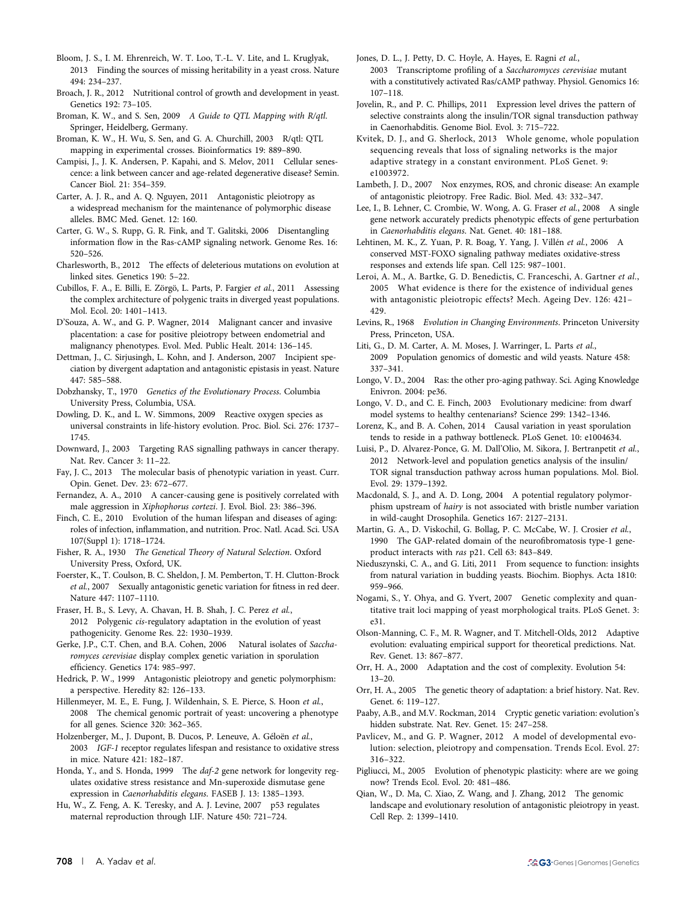- Bloom, J. S., I. M. Ehrenreich, W. T. Loo, T.-L. V. Lite, and L. Kruglyak, 2013 Finding the sources of missing heritability in a yeast cross. Nature 494: 234–237.
- Broach, J. R., 2012 Nutritional control of growth and development in yeast. Genetics 192: 73–105.
- Broman, K. W., and S. Sen, 2009 *A Guide to QTL Mapping with R/qtl*. Springer, Heidelberg, Germany.
- Broman, K. W., H. Wu, S. Sen, and G. A. Churchill, 2003 R/qtl: QTL mapping in experimental crosses. Bioinformatics 19: 889–890.
- Campisi, J., J. K. Andersen, P. Kapahi, and S. Melov, 2011 Cellular senescence: a link between cancer and age-related degenerative disease? Semin. Cancer Biol. 21: 354–359.
- Carter, A. J. R., and A. Q. Nguyen, 2011 Antagonistic pleiotropy as a widespread mechanism for the maintenance of polymorphic disease alleles. BMC Med. Genet. 12: 160.
- Carter, G. W., S. Rupp, G. R. Fink, and T. Galitski, 2006 Disentangling information flow in the Ras-cAMP signaling network. Genome Res. 16: 520–526.
- Charlesworth, B., 2012 The effects of deleterious mutations on evolution at linked sites. Genetics 190: 5–22.
- Cubillos, F. A., E. Billi, E. Zörgö, L. Parts, P. Fargier *et al.*, 2011 Assessing the complex architecture of polygenic traits in diverged yeast populations. Mol. Ecol. 20: 1401–1413.
- D'Souza, A. W., and G. P. Wagner, 2014 Malignant cancer and invasive placentation: a case for positive pleiotropy between endometrial and malignancy phenotypes. Evol. Med. Public Healt. 2014: 136–145.
- Dettman, J., C. Sirjusingh, L. Kohn, and J. Anderson, 2007 Incipient speciation by divergent adaptation and antagonistic epistasis in yeast. Nature 447: 585–588.
- Dobzhansky, T., 1970 *Genetics of the Evolutionary Process*. Columbia University Press, Columbia, USA.
- Dowling, D. K., and L. W. Simmons, 2009 Reactive oxygen species as universal constraints in life-history evolution. Proc. Biol. Sci. 276: 1737– 1745.
- Downward, J., 2003 Targeting RAS signalling pathways in cancer therapy. Nat. Rev. Cancer 3: 11–22.
- Fay, J. C., 2013 The molecular basis of phenotypic variation in yeast. Curr. Opin. Genet. Dev. 23: 672–677.
- Fernandez, A. A., 2010 A cancer-causing gene is positively correlated with male aggression in *Xiphophorus cortezi*. J. Evol. Biol. 23: 386–396.
- Finch, C. E., 2010 Evolution of the human lifespan and diseases of aging: roles of infection, inflammation, and nutrition. Proc. Natl. Acad. Sci. USA 107(Suppl 1): 1718–1724.
- Fisher, R. A., 1930 *The Genetical Theory of Natural Selection*. Oxford University Press, Oxford, UK.
- Foerster, K., T. Coulson, B. C. Sheldon, J. M. Pemberton, T. H. Clutton-Brock *et al.*, 2007 Sexually antagonistic genetic variation for fitness in red deer. Nature 447: 1107–1110.
- Fraser, H. B., S. Levy, A. Chavan, H. B. Shah, J. C. Perez *et al.*, 2012 Polygenic *cis*-regulatory adaptation in the evolution of yeast pathogenicity. Genome Res. 22: 1930–1939.
- Gerke, J.P., C.T. Chen, and B.A. Cohen, 2006 Natural isolates of *Saccharomyces cerevisiae* display complex genetic variation in sporulation efficiency. Genetics 174: 985–997.
- Hedrick, P. W., 1999 Antagonistic pleiotropy and genetic polymorphism: a perspective. Heredity 82: 126–133.
- Hillenmeyer, M. E., E. Fung, J. Wildenhain, S. E. Pierce, S. Hoon *et al.*, 2008 The chemical genomic portrait of yeast: uncovering a phenotype for all genes. Science 320: 362–365.
- Holzenberger, M., J. Dupont, B. Ducos, P. Leneuve, A. Géloën *et al.*, 2003 *IGF-1* receptor regulates lifespan and resistance to oxidative stress in mice. Nature 421: 182–187.
- Honda, Y., and S. Honda, 1999 The *daf-2* gene network for longevity regulates oxidative stress resistance and Mn-superoxide dismutase gene expression in *Caenorhabditis elegans*. FASEB J. 13: 1385–1393.
- Hu, W., Z. Feng, A. K. Teresky, and A. J. Levine, 2007 p53 regulates maternal reproduction through LIF. Nature 450: 721–724.
- Jones, D. L., J. Petty, D. C. Hoyle, A. Hayes, E. Ragni *et al.*, 2003 Transcriptome profiling of a *Saccharomyces cerevisiae* mutant with a constitutively activated Ras/cAMP pathway. Physiol. Genomics 16: 107–118.
- Jovelin, R., and P. C. Phillips, 2011 Expression level drives the pattern of selective constraints along the insulin/TOR signal transduction pathway in Caenorhabditis. Genome Biol. Evol. 3: 715–722.
- Kvitek, D. J., and G. Sherlock, 2013 Whole genome, whole population sequencing reveals that loss of signaling networks is the major adaptive strategy in a constant environment. PLoS Genet. 9: e1003972.
- Lambeth, J. D., 2007 Nox enzymes, ROS, and chronic disease: An example of antagonistic pleiotropy. Free Radic. Biol. Med. 43: 332–347.
- Lee, I., B. Lehner, C. Crombie, W. Wong, A. G. Fraser *et al.*, 2008 A single gene network accurately predicts phenotypic effects of gene perturbation in *Caenorhabditis elegans*. Nat. Genet. 40: 181–188.
- Lehtinen, M. K., Z. Yuan, P. R. Boag, Y. Yang, J. Villén *et al.*, 2006 A conserved MST-FOXO signaling pathway mediates oxidative-stress responses and extends life span. Cell 125: 987–1001.
- Leroi, A. M., A. Bartke, G. D. Benedictis, C. Franceschi, A. Gartner *et al.*, 2005 What evidence is there for the existence of individual genes with antagonistic pleiotropic effects? Mech. Ageing Dev. 126: 421– 429.
- Levins, R., 1968 *Evolution in Changing Environments*. Princeton University Press, Princeton, USA.
- Liti, G., D. M. Carter, A. M. Moses, J. Warringer, L. Parts *et al.*, 2009 Population genomics of domestic and wild yeasts. Nature 458: 337–341.
- Longo, V. D., 2004 Ras: the other pro-aging pathway. Sci. Aging Knowledge Enivron. 2004: pe36.
- Longo, V. D., and C. E. Finch, 2003 Evolutionary medicine: from dwarf model systems to healthy centenarians? Science 299: 1342–1346.
- Lorenz, K., and B. A. Cohen, 2014 Causal variation in yeast sporulation tends to reside in a pathway bottleneck. PLoS Genet. 10: e1004634.
- Luisi, P., D. Alvarez-Ponce, G. M. Dall'Olio, M. Sikora, J. Bertranpetit *et al.*, 2012 Network-level and population genetics analysis of the insulin/ TOR signal transduction pathway across human populations. Mol. Biol. Evol. 29: 1379–1392.
- Macdonald, S. J., and A. D. Long, 2004 A potential regulatory polymorphism upstream of *hairy* is not associated with bristle number variation in wild-caught Drosophila. Genetics 167: 2127–2131.
- Martin, G. A., D. Viskochil, G. Bollag, P. C. McCabe, W. J. Crosier *et al.*, 1990 The GAP-related domain of the neurofibromatosis type-1 geneproduct interacts with *ras* p21. Cell 63: 843–849.
- Nieduszynski, C. A., and G. Liti, 2011 From sequence to function: insights from natural variation in budding yeasts. Biochim. Biophys. Acta 1810: 959–966.
- Nogami, S., Y. Ohya, and G. Yvert, 2007 Genetic complexity and quantitative trait loci mapping of yeast morphological traits. PLoS Genet. 3: e31.
- Olson-Manning, C. F., M. R. Wagner, and T. Mitchell-Olds, 2012 Adaptive evolution: evaluating empirical support for theoretical predictions. Nat. Rev. Genet. 13: 867–877.
- Orr, H. A., 2000 Adaptation and the cost of complexity. Evolution 54: 13–20.
- Orr, H. A., 2005 The genetic theory of adaptation: a brief history. Nat. Rev. Genet. 6: 119–127.
- Paaby, A.B., and M.V. Rockman, 2014 Cryptic genetic variation: evolution's hidden substrate. Nat. Rev. Genet. 15: 247–258.
- Pavlicev, M., and G. P. Wagner, 2012 A model of developmental evolution: selection, pleiotropy and compensation. Trends Ecol. Evol. 27: 316–322.
- Pigliucci, M., 2005 Evolution of phenotypic plasticity: where are we going now? Trends Ecol. Evol. 20: 481–486.
- Qian, W., D. Ma, C. Xiao, Z. Wang, and J. Zhang, 2012 The genomic landscape and evolutionary resolution of antagonistic pleiotropy in yeast. Cell Rep. 2: 1399–1410.